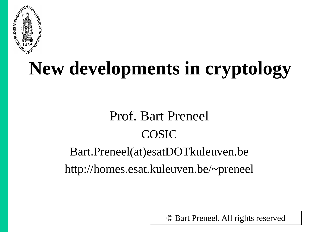

## **New developments in cryptology**

#### Prof. Bart Preneel COSIC

#### Bart.Preneel(at)esatDOTkuleuven.be http://homes.esat.kuleuven.be/~preneel

© Bart Preneel. All rights reserved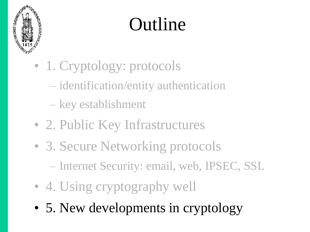

## Outline

- 1. Cryptology: protocols
	- identification/entity authentication
	- key establishment
- 2. Public Key Infrastructures
- 3. Secure Networking protocols
	- Internet Security: email, web, IPSEC, SSL
- 4. Using cryptography well
- 5. New developments in cryptology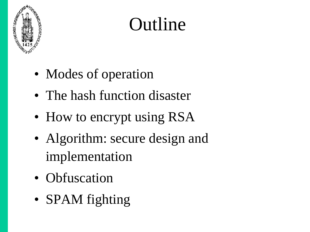

## Outline

- Modes of operation
- The hash function disaster
- How to encrypt using RSA
- Algorithm: secure design and implementation
- Obfuscation
- **SPAM** fighting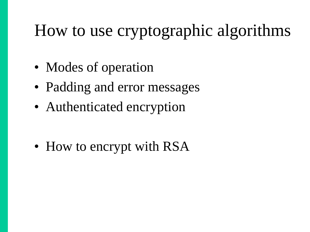### How to use cryptographic algorithms

- Modes of operation
- Padding and error messages
- Authenticated encryption

• How to encrypt with RSA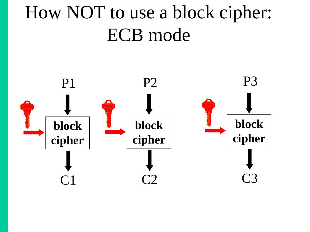## How NOT to use a block cipher: ECB mode

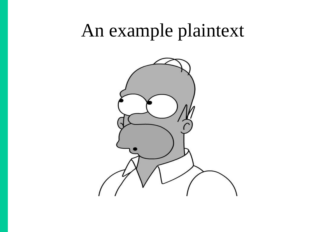#### An example plaintext

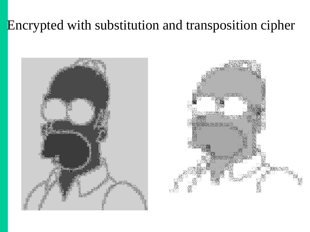#### Encrypted with substitution and transposition cipher

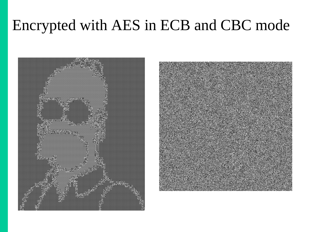#### Encrypted with AES in ECB and CBC mode



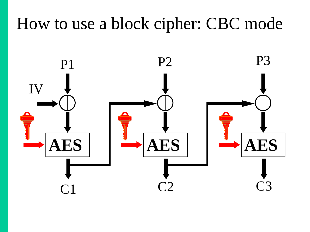#### How to use a block cipher: CBC mode

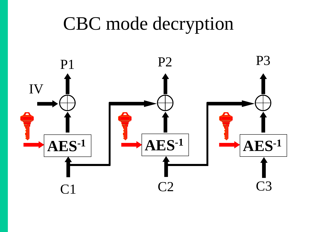### CBC mode decryption

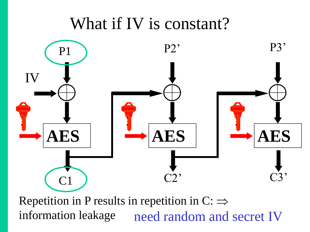#### What if IV is constant?



Repetition in P results in repetition in  $C \implies$ information leakage need random and secret IV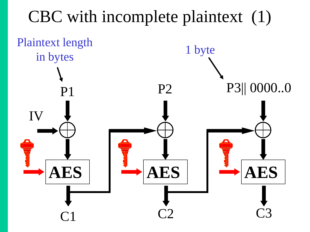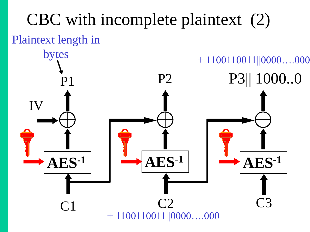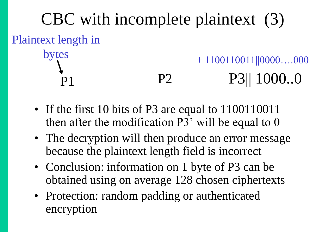

- If the first 10 bits of P3 are equal to 1100110011 then after the modification  $P3'$  will be equal to 0
- The decryption will then produce an error message because the plaintext length field is incorrect
- Conclusion: information on 1 byte of P3 can be obtained using on average 128 chosen ciphertexts
- Protection: random padding or authenticated encryption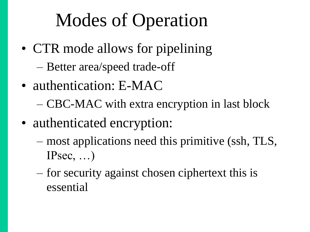## Modes of Operation

- CTR mode allows for pipelining
	- Better area/speed trade-off
- authentication: E-MAC
	- CBC-MAC with extra encryption in last block
- authenticated encryption:
	- most applications need this primitive (ssh, TLS, IPsec, …)
	- for security against chosen ciphertext this is essential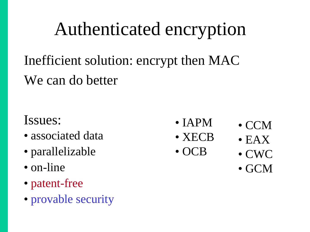### Authenticated encryption

Inefficient solution: encrypt then MAC We can do better

#### Issues:

- associated data
- parallelizable
- on-line
- patent-free
- provable security
- IAPM
- XECB
- OCB
- CCM
- EAX
- CWC
- GCM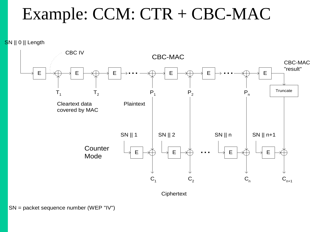#### Example: CCM: CTR + CBC-MAC

SN || 0 || Length



**Ciphertext**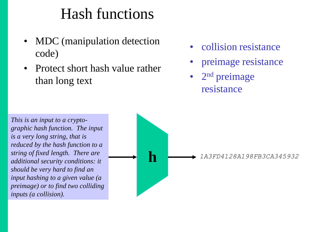#### Hash functions

- MDC (manipulation detection code)
- Protect short hash value rather than long text
- collision resistance
- preimage resistance
- 2<sup>nd</sup> preimage resistance

*This is an input to a cryptographic hash function. The input is a very long string, that is reduced by the hash function to a string of fixed length. There are additional security conditions: it should be very hard to find an input hashing to a given value (a preimage) or to find two colliding inputs (a collision).* 

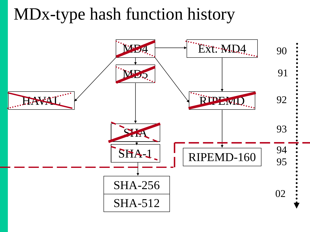#### MDx-type hash function history

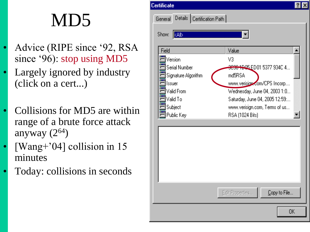## MD5

- Advice (RIPE since "92, RSA since '96): stop using MD5
- Largely ignored by industry (click on a cert...)
- Collisions for MD5 are within range of a brute force attack anyway  $(2^{64})$
- [Wang+'04] collision in 15 minutes
- Today: collisions in seconds

| ertificate)         |                              |                                        |  |
|---------------------|------------------------------|----------------------------------------|--|
| General             | Details   Certification Path |                                        |  |
|                     |                              |                                        |  |
| Show:<br>kAl⊳       |                              |                                        |  |
|                     |                              |                                        |  |
| Field               |                              | Value                                  |  |
| Version             |                              | V3                                     |  |
| Serial Number       |                              | <del>3036 19</del> 95 ED01 5377 9340 4 |  |
| Signature Algorithm |                              | md5RSA                                 |  |
| Issuer              |                              | www.verision.com/CPS Incorp            |  |
| Valid From          |                              | Wednesday, June 04, 2003 1:0           |  |
| Valid To            |                              | Saturday, June 04, 2005 12:59:         |  |
| Subject             |                              | www.verisign.com, Terms of us          |  |
| Public Key          |                              | RSA (1024 Bits)                        |  |
|                     |                              |                                        |  |
|                     |                              |                                        |  |
|                     |                              |                                        |  |
|                     |                              |                                        |  |
|                     |                              |                                        |  |
|                     |                              |                                        |  |
|                     |                              |                                        |  |

Edit Properties...

Copy to File...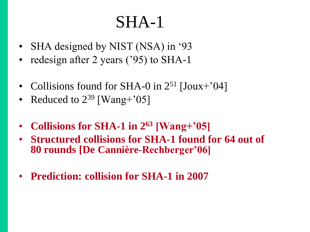#### SHA-1

- SHA designed by NIST (NSA) in '93
- redesign after 2 years ('95) to SHA-1
- Collisions found for SHA-0 in  $2^{51}$  [Joux+'04]
- Reduced to  $2^{39}$  [Wang+'05]
- **Collisions for SHA-1 in 2<sup>63</sup> [Wang+'05]**
- **Structured collisions for SHA-1 found for 64 out of 80 rounds [De Cannière-Rechberger'06]**
- **Prediction: collision for SHA-1 in 2007**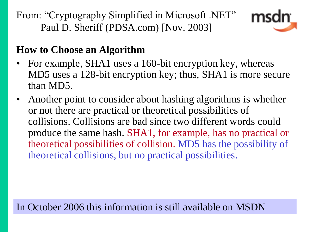From: "Cryptography Simplified in Microsoft .NET" Paul D. Sheriff (PDSA.com) [Nov. 2003]



#### **How to Choose an Algorithm**

- For example, SHA1 uses a 160-bit encryption key, whereas MD5 uses a 128-bit encryption key; thus, SHA1 is more secure than MD5.
- Another point to consider about hashing algorithms is whether or not there are practical or theoretical possibilities of collisions. Collisions are bad since two different words could produce the same hash. SHA1, for example, has no practical or theoretical possibilities of collision. MD5 has the possibility of theoretical collisions, but no practical possibilities.

In October 2006 this information is still available on MSDN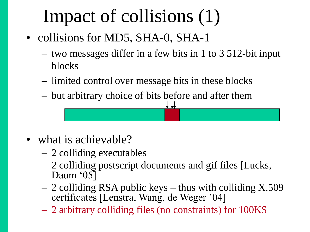## Impact of collisions (1)

- collisions for MD5, SHA-0, SHA-1
	- two messages differ in a few bits in 1 to 3 512-bit input blocks
	- limited control over message bits in these blocks
	- but arbitrary choice of bits before and after them ⊥ ⊥ı

- what is achievable?
	- 2 colliding executables
	- 2 colliding postscript documents and gif files [Lucks, Daum '05]
	- 2 colliding RSA public keys thus with colliding X.509 certificates [Lenstra, Wang, de Weger "04]
	- 2 arbitrary colliding files (no constraints) for 100K\$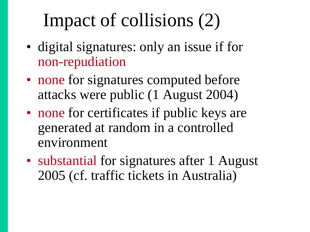## Impact of collisions (2)

- digital signatures: only an issue if for non-repudiation
- none for signatures computed before attacks were public (1 August 2004)
- none for certificates if public keys are generated at random in a controlled environment
- substantial for signatures after 1 August 2005 (cf. traffic tickets in Australia)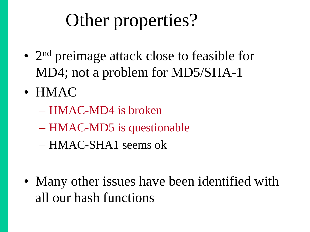## Other properties?

- 2<sup>nd</sup> preimage attack close to feasible for MD4; not a problem for MD5/SHA-1
- HMAC
	- HMAC-MD4 is broken
	- HMAC-MD5 is questionable
	- HMAC-SHA1 seems ok
- Many other issues have been identified with all our hash functions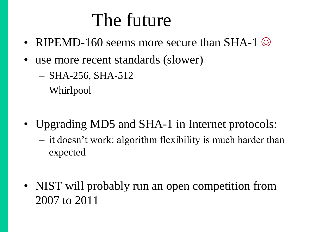### The future

- RIPEMD-160 seems more secure than SHA-1  $\odot$
- use more recent standards (slower)
	- SHA-256, SHA-512
	- Whirlpool
- Upgrading MD5 and SHA-1 in Internet protocols:
	- it doesn"t work: algorithm flexibility is much harder than expected
- NIST will probably run an open competition from 2007 to 2011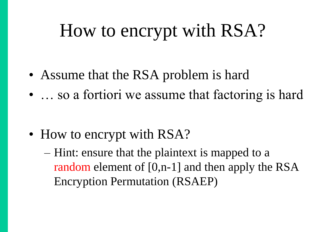## How to encrypt with RSA?

- Assume that the RSA problem is hard
- ... so a fortiori we assume that factoring is hard

• How to encrypt with RSA?

– Hint: ensure that the plaintext is mapped to a random element of [0,n-1] and then apply the RSA Encryption Permutation (RSAEP)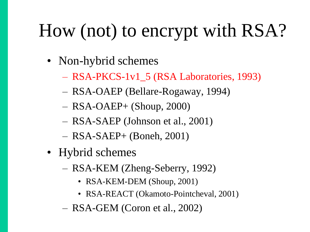## How (not) to encrypt with RSA?

- Non-hybrid schemes
	- RSA-PKCS-1v1\_5 (RSA Laboratories, 1993)
	- RSA-OAEP (Bellare-Rogaway, 1994)
	- $-$  RSA-OAEP+ (Shoup, 2000)
	- RSA-SAEP (Johnson et al., 2001)
	- RSA-SAEP+ (Boneh, 2001)
- Hybrid schemes
	- RSA-KEM (Zheng-Seberry, 1992)
		- RSA-KEM-DEM (Shoup, 2001)
		- RSA-REACT (Okamoto-Pointcheval, 2001)
	- RSA-GEM (Coron et al., 2002)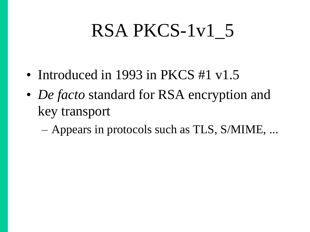## RSA PKCS-1v1\_5

- Introduced in 1993 in PKCS #1 v1.5
- *De facto* standard for RSA encryption and key transport
	- Appears in protocols such as TLS, S/MIME, ...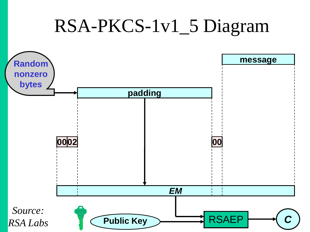### RSA-PKCS-1v1\_5 Diagram

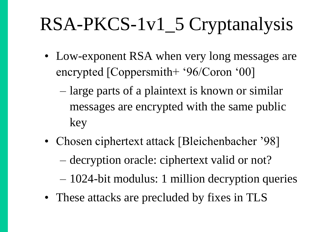## RSA-PKCS-1v1\_5 Cryptanalysis

- Low-exponent RSA when very long messages are encrypted [Coppersmith+ "96/Coron "00]
	- large parts of a plaintext is known or similar messages are encrypted with the same public key
- Chosen ciphertext attack [Bleichenbacher '98]
	- decryption oracle: ciphertext valid or not?
	- 1024-bit modulus: 1 million decryption queries
- These attacks are precluded by fixes in TLS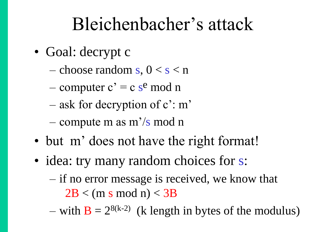### Bleichenbacher"s attack

- Goal: decrypt c
	- choose random s,  $0 < s < n$
	- computer  $c' = c$  s<sup>e</sup> mod n
	- ask for decryption of  $c$ : m'
	- compute m as m"/s mod n
- but m' does not have the right format!
- idea: try many random choices for s:
	- if no error message is received, we know that  $2B < (m s \mod n) < 3B$
	- with  $B = 2^{8(k-2)}$  (k length in bytes of the modulus)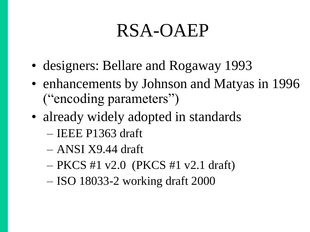### RSA-OAEP

- designers: Bellare and Rogaway 1993
- enhancements by Johnson and Matyas in 1996 ("encoding parameters")
- already widely adopted in standards
	- IEEE P1363 draft
	- ANSI X9.44 draft
	- PKCS #1 v2.0 (PKCS #1 v2.1 draft)
	- ISO 18033-2 working draft 2000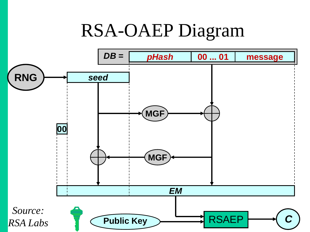### RSA-OAEP Diagram

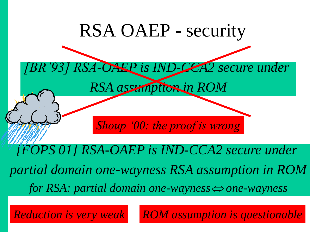

*Reduction is very weak ROM assumption is questionable*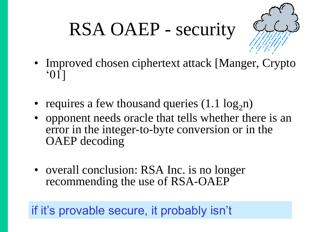# RSA OAEP - security



- Improved chosen ciphertext attack [Manger, Crypto "01]
- requires a few thousand queries  $(1.1 \log_2 n)$
- opponent needs oracle that tells whether there is an error in the integer-to-byte conversion or in the OAEP decoding
- overall conclusion: RSA Inc. is no longer recommending the use of RSA-OAEP

if it's provable secure, it probably isn't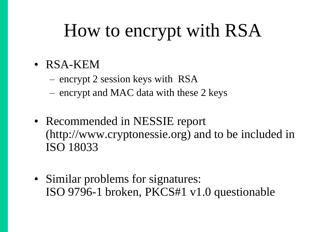# How to encrypt with RSA

- RSA-KEM
	- encrypt 2 session keys with RSA
	- encrypt and MAC data with these 2 keys
- Recommended in NESSIE report (http://www.cryptonessie.org) and to be included in ISO 18033
- Similar problems for signatures: ISO 9796-1 broken, PKCS#1 v1.0 questionable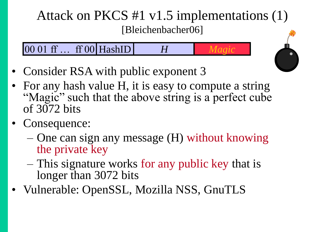#### Attack on PKCS #1 v1.5 implementations (1) [Bleichenbacher06]

00 01 ff … ff 00 HashID *H Magic*

- Consider RSA with public exponent 3
- For any hash value H, it is easy to compute a string "Magic" such that the above string is a perfect cube of 3072 bits
- Consequence:
	- One can sign any message (H) without knowing the private key
	- This signature works for any public key that is longer than 3072 bits
- Vulnerable: OpenSSL, Mozilla NSS, GnuTLS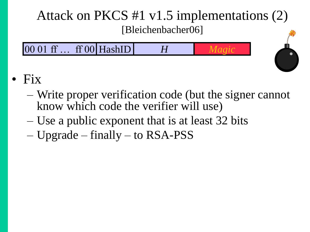#### Attack on PKCS #1 v1.5 implementations (2) [Bleichenbacher06]





- Write proper verification code (but the signer cannot know which code the verifier will use)
- Use a public exponent that is at least 32 bits
- Upgrade finally to RSA-PSS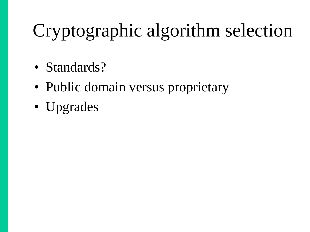# Cryptographic algorithm selection

- Standards?
- Public domain versus proprietary
- Upgrades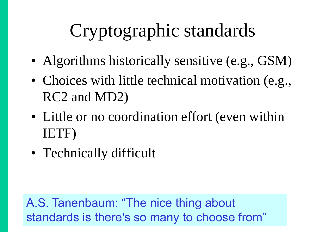# Cryptographic standards

- Algorithms historically sensitive (e.g., GSM)
- Choices with little technical motivation (e.g., RC2 and MD2)
- Little or no coordination effort (even within IETF)
- Technically difficult

A.S. Tanenbaum: "The nice thing about standards is there's so many to choose from"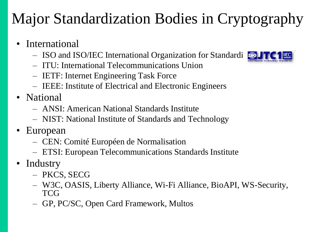#### Major Standardization Bodies in Cryptography

- **International** 
	- ISO and ISO/IEC International Organization for Standardi
	- ITU: International Telecommunications Union
	- IETF: Internet Engineering Task Force
	- IEEE: Institute of Electrical and Electronic Engineers
- National
	- ANSI: American National Standards Institute
	- NIST: National Institute of Standards and Technology
- European
	- CEN: Comité Européen de Normalisation
	- ETSI: European Telecommunications Standards Institute
- Industry
	- PKCS, SECG
	- W3C, OASIS, Liberty Alliance, Wi-Fi Alliance, BioAPI, WS-Security, **TCG**
	- GP, PC/SC, Open Card Framework, Multos

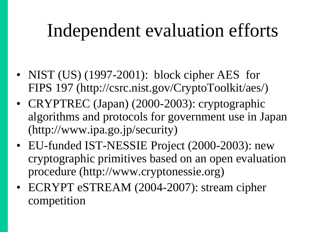## Independent evaluation efforts

- NIST (US) (1997-2001): block cipher AES for FIPS 197 (http://csrc.nist.gov/CryptoToolkit/aes/)
- CRYPTREC (Japan) (2000-2003): cryptographic algorithms and protocols for government use in Japan (http://www.ipa.go.jp/security)
- EU-funded IST-NESSIE Project (2000-2003): new cryptographic primitives based on an open evaluation procedure (http://www.cryptonessie.org)
- ECRYPT eSTREAM (2004-2007): stream cipher competition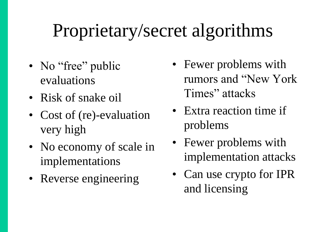# Proprietary/secret algorithms

- No "free" public evaluations
- Risk of snake oil
- Cost of (re)-evaluation very high
- No economy of scale in implementations
- Reverse engineering
- Fewer problems with rumors and "New York Times" attacks
- Extra reaction time if problems
- Fewer problems with implementation attacks
- Can use crypto for IPR and licensing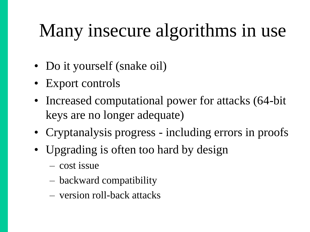# Many insecure algorithms in use

- Do it yourself (snake oil)
- Export controls
- Increased computational power for attacks (64-bit keys are no longer adequate)
- Cryptanalysis progress including errors in proofs
- Upgrading is often too hard by design
	- cost issue
	- backward compatibility
	- version roll-back attacks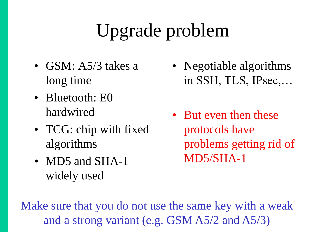# Upgrade problem

- GSM: A5/3 takes a long time
- Bluetooth: E0 hardwired
- TCG: chip with fixed algorithms
- MD5 and SHA-1 widely used
- Negotiable algorithms in SSH, TLS, IPsec,…
- But even then these protocols have problems getting rid of MD5/SHA-1

Make sure that you do not use the same key with a weak and a strong variant (e.g. GSM A5/2 and A5/3)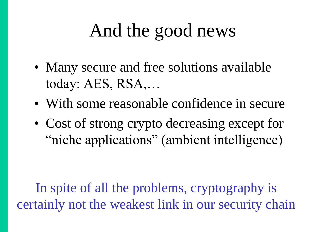# And the good news

- Many secure and free solutions available today: AES, RSA,…
- With some reasonable confidence in secure
- Cost of strong crypto decreasing except for "niche applications" (ambient intelligence)

In spite of all the problems, cryptography is certainly not the weakest link in our security chain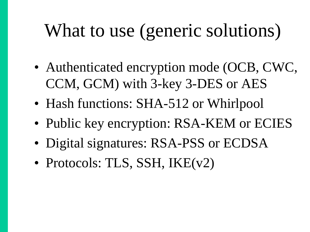# What to use (generic solutions)

- Authenticated encryption mode (OCB, CWC, CCM, GCM) with 3-key 3-DES or AES
- Hash functions: SHA-512 or Whirlpool
- Public key encryption: RSA-KEM or ECIES
- Digital signatures: RSA-PSS or ECDSA
- Protocols: TLS, SSH, IKE(v2)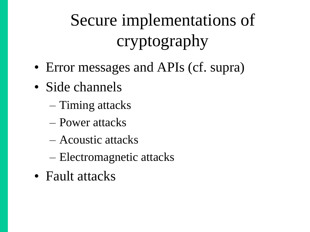# Secure implementations of cryptography

- Error messages and APIs (cf. supra)
- Side channels
	- Timing attacks
	- Power attacks
	- Acoustic attacks
	- Electromagnetic attacks
- Fault attacks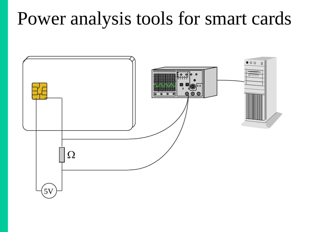### Power analysis tools for smart cards

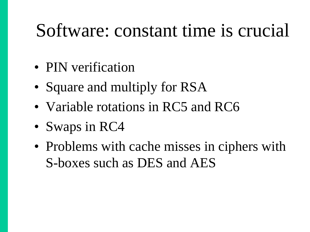### Software: constant time is crucial

- PIN verification
- Square and multiply for RSA
- Variable rotations in RC5 and RC6
- Swaps in RC4
- Problems with cache misses in ciphers with S-boxes such as DES and AES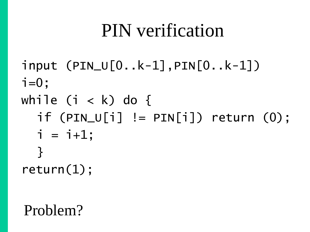### PIN verification

input (PIN\_U[0..k-1],PIN[0..k-1])  $i=0$ ; while  $(i < k)$  do {  $if (PIN_U[i] != PIN[i]) return (0);$  $i = i+1;$ } return(1);

#### Problem?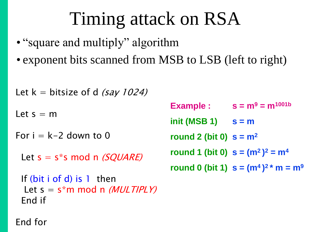# Timing attack on RSA

- "square and multiply" algorithm
- exponent bits scanned from MSB to LSB (left to right)

```
Let k = bitsize of d (say 1024)
Let s = mFor i = k-2 down to 0
 Let s = s^*s mod n (SQUARE)
  If (bit i of d) is 1 then
  Let s = s^*m \mod n (MULTIPLY)
  End if
                                      Example : s = m^9 = m^{1001b}init (MSB 1) s = m
                                      round 2 (bit 0) s = m2
                                      round 1 (bit 0) s = (m^2)^2 = m^4round 0 (bit 1) s = (m^4)^2 * m = m^9
```
End for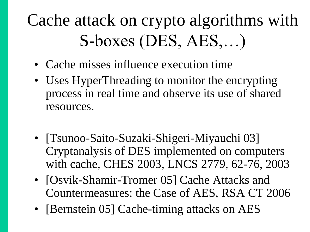## Cache attack on crypto algorithms with S-boxes (DES, AES,…)

- Cache misses influence execution time
- Uses HyperThreading to monitor the encrypting process in real time and observe its use of shared resources.
- [Tsunoo-Saito-Suzaki-Shigeri-Miyauchi 03] Cryptanalysis of DES implemented on computers with cache, CHES 2003, LNCS 2779, 62-76, 2003
- [Osvik-Shamir-Tromer 05] Cache Attacks and Countermeasures: the Case of AES, RSA CT 2006
- [Bernstein 05] Cache-timing attacks on AES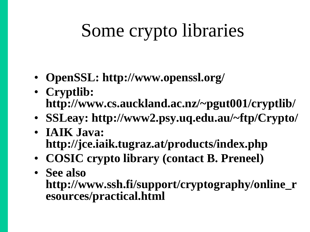# Some crypto libraries

- **OpenSSL: http://www.openssl.org/**
- **Cryptlib: http://www.cs.auckland.ac.nz/~pgut001/cryptlib/**
- **SSLeay: http://www2.psy.uq.edu.au/~ftp/Crypto/**
- **IAIK Java: http://jce.iaik.tugraz.at/products/index.php**
- **COSIC crypto library (contact B. Preneel)**
- **See also http://www.ssh.fi/support/cryptography/online\_r esources/practical.html**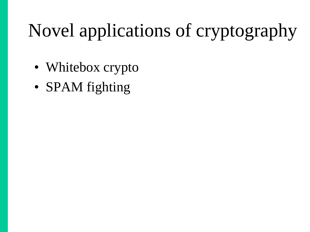# Novel applications of cryptography

- Whitebox crypto
- SPAM fighting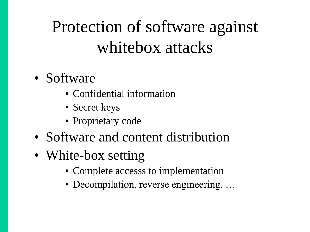### Protection of software against whitebox attacks

- Software
	- Confidential information
	- Secret keys
	- Proprietary code
- Software and content distribution
- White-box setting
	- Complete accesss to implementation
	- Decompilation, reverse engineering, ...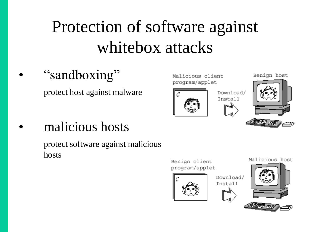### Protection of software against whitebox attacks

#### "sandboxing"

protect host against malware

Malicious client program/applet



Download/ Install

Benign host



#### • malicious hosts

protect software against malicious hosts

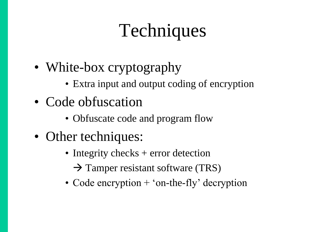# Techniques

- White-box cryptography
	- Extra input and output coding of encryption
- Code obfuscation
	- Obfuscate code and program flow
- Other techniques:
	- Integrity checks + error detection  $\rightarrow$  Tamper resistant software (TRS)
	- Code encryption + 'on-the-fly' decryption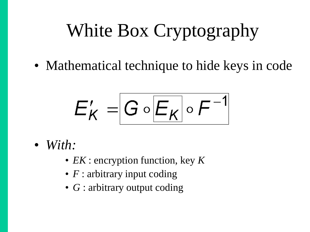# White Box Cryptography

• Mathematical technique to hide keys in code

$$
E'_{K} = G \circ \boxed{E_{K}} \circ F^{-1}
$$

- *With:*
	- *EK* : encryption function, key *K*
	- *F* : arbitrary input coding
	- *G* : arbitrary output coding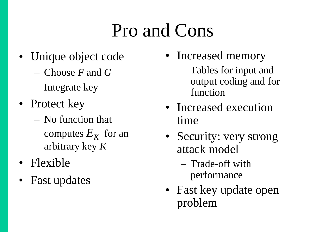# Pro and Cons

- Unique object code
	- Choose *F* and *G*
	- Integrate key
- Protect key
	- No function that computes  $E_K$  for an arbitrary key *K*
- Flexible
- Fast updates
- Increased memory
	- Tables for input and output coding and for function
- Increased execution time
- Security: very strong attack model
	- Trade-off with performance
- Fast key update open problem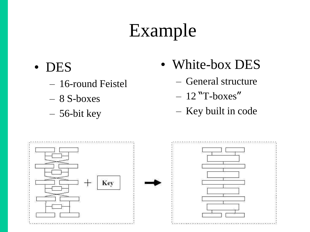# Example

- DES
	- 16-round Feistel
	- 8 S-boxes
	- 56-bit key
- White-box DES
	- General structure
	- $-12$  "T-boxes"
	- Key built in code

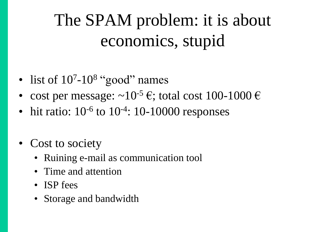### The SPAM problem: it is about economics, stupid

- list of  $10<sup>7</sup>$ -10<sup>8</sup> "good" names
- cost per message:  $\sim 10^{-5}$  €; total cost 100-1000 €
- $\bullet$  hit ratio:  $10^{-6}$  to  $10^{-4}$ : 10-10000 responses
- Cost to society
	- Ruining e-mail as communication tool
	- Time and attention
	- ISP fees
	- Storage and bandwidth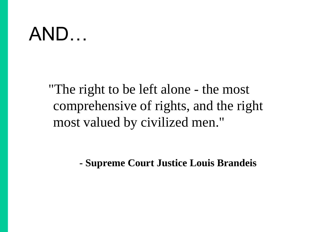### AND…

"The right to be left alone - the most comprehensive of rights, and the right most valued by civilized men."

**- Supreme Court Justice Louis Brandeis**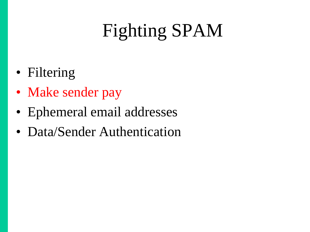# Fighting SPAM

- Filtering
- Make sender pay
- Ephemeral email addresses
- Data/Sender Authentication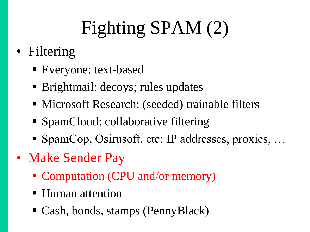# Fighting SPAM (2)

- Filtering
	- Everyone: text-based
	- Brightmail: decoys; rules updates
	- Microsoft Research: (seeded) trainable filters
	- SpamCloud: collaborative filtering
	- SpamCop, Osirusoft, etc: IP addresses, proxies, ...
- Make Sender Pay
	- Computation (CPU and/or memory)
	- Human attention
	- Cash, bonds, stamps (PennyBlack)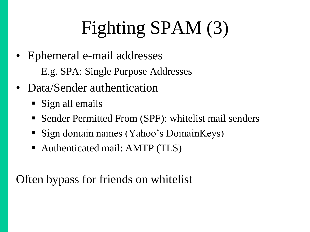# Fighting SPAM (3)

- Ephemeral e-mail addresses
	- E.g. SPA: Single Purpose Addresses
- Data/Sender authentication
	- Sign all emails
	- Sender Permitted From (SPF): whitelist mail senders
	- Sign domain names (Yahoo's DomainKeys)
	- Authenticated mail: AMTP (TLS)

Often bypass for friends on whitelist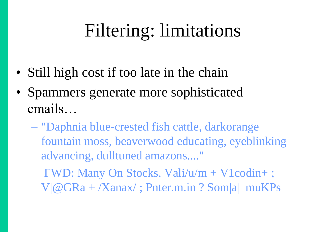# Filtering: limitations

- Still high cost if too late in the chain
- Spammers generate more sophisticated emails…
	- "Daphnia blue-crested fish cattle, darkorange fountain moss, beaverwood educating, eyeblinking advancing, dulltuned amazons...."
	- FWD: Many On Stocks. Vali/u/m + V1codin+ ; V|@GRa + /Xanax/ ; Pnter.m.in ? Som|a| muKPs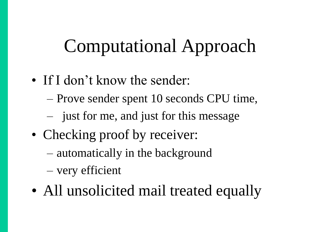# Computational Approach

- If I don't know the sender:
	- Prove sender spent 10 seconds CPU time,
	- just for me, and just for this message
- Checking proof by receiver:
	- automatically in the background
	- very efficient
- All unsolicited mail treated equally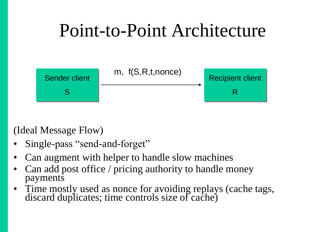# Point-to-Point Architecture



(Ideal Message Flow)

- Single-pass "send-and-forget"
- Can augment with helper to handle slow machines
- Can add post office / pricing authority to handle money payments
- Time mostly used as nonce for avoiding replays (cache tags, discard duplicates; time controls size of cache)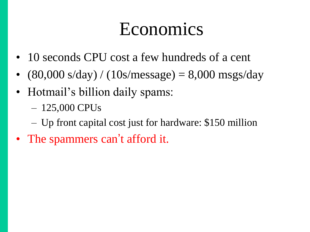### Economics

- 10 seconds CPU cost a few hundreds of a cent
- $(80,000 \text{ s/day}) / (10 \text{ s/message}) = 8,000 \text{ msgs/day}$
- Hotmail's billion daily spams:
	- 125,000 CPUs
	- Up front capital cost just for hardware: \$150 million
- The spammers can't afford it.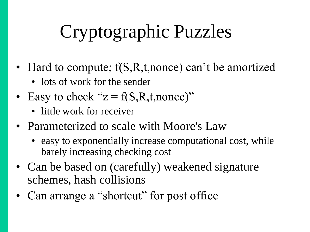# Cryptographic Puzzles

- Hard to compute;  $f(S,R,t,nonce)$  can't be amortized
	- lots of work for the sender
- Easy to check " $z = f(S,R,t,nonce)$ "
	- little work for receiver
- Parameterized to scale with Moore's Law
	- easy to exponentially increase computational cost, while barely increasing checking cost
- Can be based on (carefully) weakened signature schemes, hash collisions
- Can arrange a "shortcut" for post office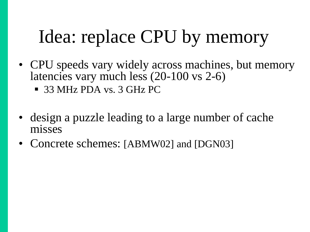# Idea: replace CPU by memory

- CPU speeds vary widely across machines, but memory latencies vary much less (20-100 vs 2-6)
	- 33 MHz PDA vs. 3 GHz PC
- design a puzzle leading to a large number of cache misses
- Concrete schemes: [ABMW02] and [DGN03]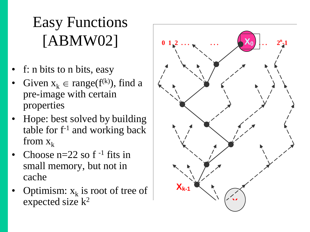#### Easy Functions [ABMW02] **0 1 2 . . . . . . . . . 2<sup>n</sup> <sup>X</sup><sup>0</sup> -1**

- f: n bits to n bits, easy
- Given  $x_k \in range(f^{(k)})$ , find a pre-image with certain properties
- Hope: best solved by building table for  $f^{-1}$  and working back from  $x_k$
- Choose  $n=22$  so  $f^{-1}$  fits in small memory, but not in cache
- Optimism:  $x_k$  is root of tree of expected size  $k^2$

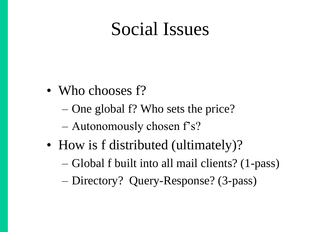#### Social Issues

- Who chooses f?
	- One global f? Who sets the price?
	- Autonomously chosen f"s?
- How is f distributed (ultimately)?
	- Global f built into all mail clients? (1-pass)
	- Directory? Query-Response? (3-pass)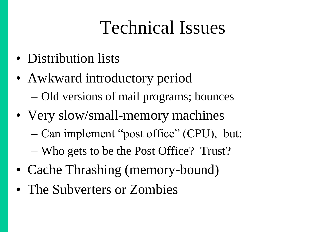#### Technical Issues

- Distribution lists
- Awkward introductory period – Old versions of mail programs; bounces
- Very slow/small-memory machines
	- Can implement "post office" (CPU), but:
	- Who gets to be the Post Office? Trust?
- Cache Thrashing (memory-bound)
- The Subverters or Zombies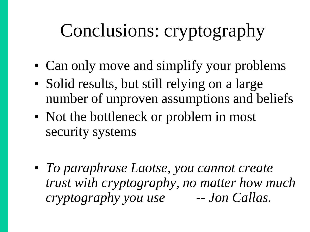# Conclusions: cryptography

- Can only move and simplify your problems
- Solid results, but still relying on a large number of unproven assumptions and beliefs
- Not the bottleneck or problem in most security systems
- *To paraphrase Laotse, you cannot create trust with cryptography, no matter how much cryptography you use -- Jon Callas.*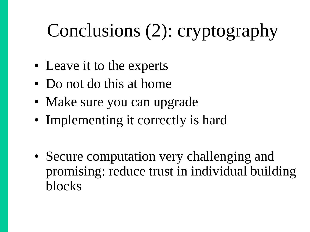# Conclusions (2): cryptography

- Leave it to the experts
- Do not do this at home
- Make sure you can upgrade
- Implementing it correctly is hard
- Secure computation very challenging and promising: reduce trust in individual building blocks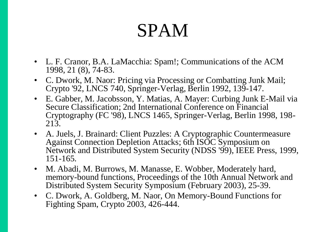#### SPAM

- L. F. Cranor, B.A. LaMacchia: Spam!; Communications of the ACM 1998, 21 (8), 74-83.
- C. Dwork, M. Naor: Pricing via Processing or Combatting Junk Mail; Crypto '92, LNCS 740, Springer-Verlag, Berlin 1992, 139-147.
- E. Gabber, M. Jacobsson, Y. Matias, A. Mayer: Curbing Junk E-Mail via Secure Classification; 2nd International Conference on Financial Cryptography (FC '98), LNCS 1465, Springer-Verlag, Berlin 1998, 198- 213.
- A. Juels, J. Brainard: Client Puzzles: A Cryptographic Countermeasure Against Connection Depletion Attacks; 6th ISOC Symposium on Network and Distributed System Security (NDSS '99), IEEE Press, 1999, 151-165.
- M. Abadi, M. Burrows, M. Manasse, E. Wobber, Moderately hard, memory-bound functions, Proceedings of the 10th Annual Network and Distributed System Security Symposium (February 2003), 25-39.
- C. Dwork, A. Goldberg, M. Naor, On Memory-Bound Functions for Fighting Spam, Crypto 2003, 426-444.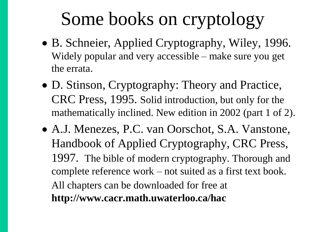## Some books on cryptology

- B. Schneier, Applied Cryptography, Wiley, 1996. Widely popular and very accessible – make sure you get the errata.
- D. Stinson, Cryptography: Theory and Practice, CRC Press, 1995. Solid introduction, but only for the mathematically inclined. New edition in 2002 (part 1 of 2).
- A.J. Menezes, P.C. van Oorschot, S.A. Vanstone, Handbook of Applied Cryptography, CRC Press, 1997. The bible of modern cryptography. Thorough and complete reference work – not suited as a first text book. All chapters can be downloaded for free at **http://www.cacr.math.uwaterloo.ca/hac**